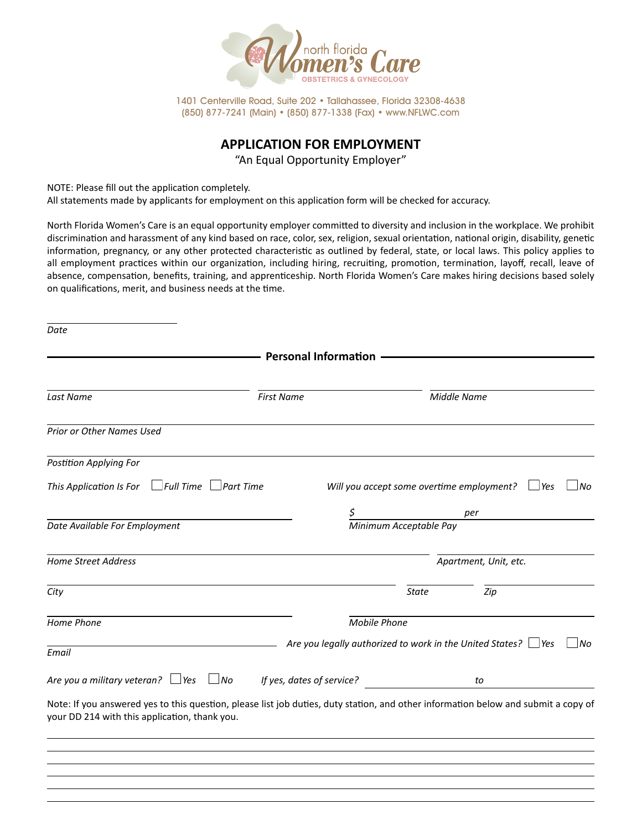

1401 Centerville Road, Suite 202 • Tallahassee, Florida 32308-4638 (850) 877-7241 (Main) • (850) 877-1338 (Fax) • www.NFLWC.com

## **APPLICATION FOR EMPLOYMENT**

"An Equal Opportunity Employer"

NOTE: Please fill out the application completely.

All statements made by applicants for employment on this application form will be checked for accuracy.

North Florida Women's Care is an equal opportunity employer committed to diversity and inclusion in the workplace. We prohibit discrimination and harassment of any kind based on race, color, sex, religion, sexual orientation, national origin, disability, genetic information, pregnancy, or any other protected characteristic as outlined by federal, state, or local laws. This policy applies to all employment practices within our organization, including hiring, recruiting, promotion, termination, layoff, recall, leave of absence, compensation, benefits, training, and apprenticeship. North Florida Women's Care makes hiring decisions based solely on qualifications, merit, and business needs at the time.

|                                                                                                                                                                                     | <b>First Name</b>         |                                           | <b>Middle Name</b>                                                               |
|-------------------------------------------------------------------------------------------------------------------------------------------------------------------------------------|---------------------------|-------------------------------------------|----------------------------------------------------------------------------------|
| Last Name                                                                                                                                                                           |                           |                                           |                                                                                  |
| Prior or Other Names Used                                                                                                                                                           |                           |                                           |                                                                                  |
| <b>Postition Applying For</b>                                                                                                                                                       |                           |                                           |                                                                                  |
| $\Box$ Full Time $\Box$<br>This Application Is For                                                                                                                                  | $\Box$ Part Time          | Will you accept some overtime employment? | l No<br><i>Yes</i>                                                               |
|                                                                                                                                                                                     | Ş                         |                                           | per                                                                              |
| Date Available For Employment                                                                                                                                                       |                           | Minimum Acceptable Pay                    |                                                                                  |
| <b>Home Street Address</b>                                                                                                                                                          |                           |                                           | Apartment, Unit, etc.                                                            |
| City                                                                                                                                                                                |                           | <b>State</b>                              | Zip                                                                              |
| Home Phone                                                                                                                                                                          |                           | <b>Mobile Phone</b>                       |                                                                                  |
| Email                                                                                                                                                                               |                           |                                           | Are you legally authorized to work in the United States? $\Box$ Yes<br>$\Box$ No |
| Are you a military veteran? $\Box$ Yes $\Box$ No                                                                                                                                    | If yes, dates of service? |                                           | to                                                                               |
| Note: If you answered yes to this question, please list job duties, duty station, and other information below and submit a copy of<br>your DD 214 with this application, thank you. |                           |                                           |                                                                                  |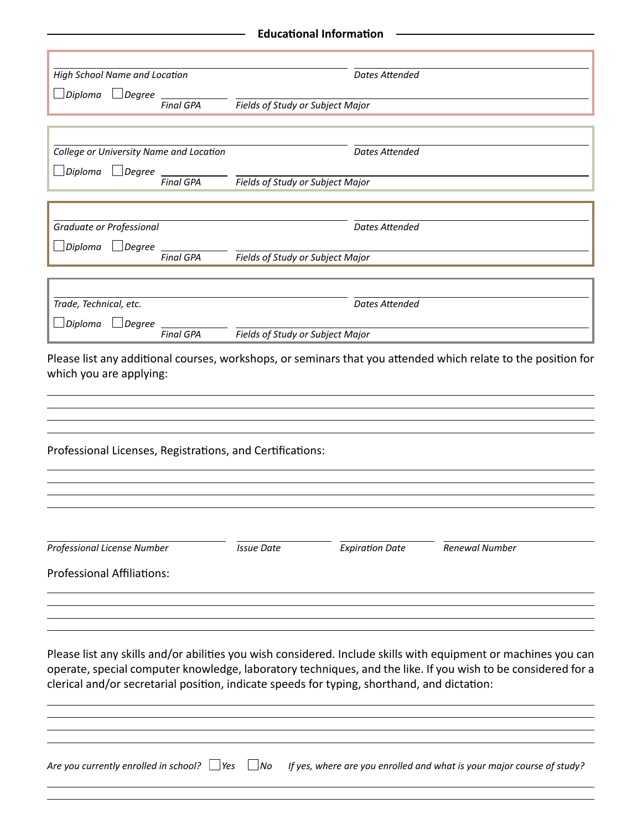| High School Name and Location                                       |                  |                                                                                             | <b>Dates Attended</b>  |                                                                                                                                                                                                                                |
|---------------------------------------------------------------------|------------------|---------------------------------------------------------------------------------------------|------------------------|--------------------------------------------------------------------------------------------------------------------------------------------------------------------------------------------------------------------------------|
| Diploma<br>$\Box$ Degree                                            |                  |                                                                                             |                        |                                                                                                                                                                                                                                |
|                                                                     | <b>Final GPA</b> | <b>Fields of Study or Subject Major</b>                                                     |                        |                                                                                                                                                                                                                                |
|                                                                     |                  |                                                                                             |                        |                                                                                                                                                                                                                                |
| College or University Name and Location<br>Diploma<br>$\Box$ Degree |                  |                                                                                             | <b>Dates Attended</b>  |                                                                                                                                                                                                                                |
|                                                                     | <b>Final GPA</b> | Fields of Study or Subject Major                                                            |                        |                                                                                                                                                                                                                                |
| Graduate or Professional                                            |                  |                                                                                             | <b>Dates Attended</b>  |                                                                                                                                                                                                                                |
| Diploma<br>$\Box$ Degree                                            |                  |                                                                                             |                        |                                                                                                                                                                                                                                |
|                                                                     | <b>Final GPA</b> | Fields of Study or Subject Major                                                            |                        |                                                                                                                                                                                                                                |
|                                                                     |                  |                                                                                             |                        |                                                                                                                                                                                                                                |
| Trade, Technical, etc.<br>Diploma<br>$\Box$ Degree                  |                  |                                                                                             | <b>Dates Attended</b>  |                                                                                                                                                                                                                                |
|                                                                     | <b>Final GPA</b> | Fields of Study or Subject Major                                                            |                        |                                                                                                                                                                                                                                |
| Professional Licenses, Registrations, and Certifications:           |                  |                                                                                             |                        |                                                                                                                                                                                                                                |
| Professional License Number                                         |                  | <b>Issue Date</b>                                                                           | <b>Expiration Date</b> | <b>Renewal Number</b>                                                                                                                                                                                                          |
| <b>Professional Affiliations:</b>                                   |                  |                                                                                             |                        |                                                                                                                                                                                                                                |
|                                                                     |                  |                                                                                             |                        |                                                                                                                                                                                                                                |
|                                                                     |                  | clerical and/or secretarial position, indicate speeds for typing, shorthand, and dictation: |                        | Please list any skills and/or abilities you wish considered. Include skills with equipment or machines you can<br>operate, special computer knowledge, laboratory techniques, and the like. If you wish to be considered for a |
| Are you currently enrolled in school? $\Box$ Yes                    |                  | No                                                                                          |                        | If yes, where are you enrolled and what is your major course of study?                                                                                                                                                         |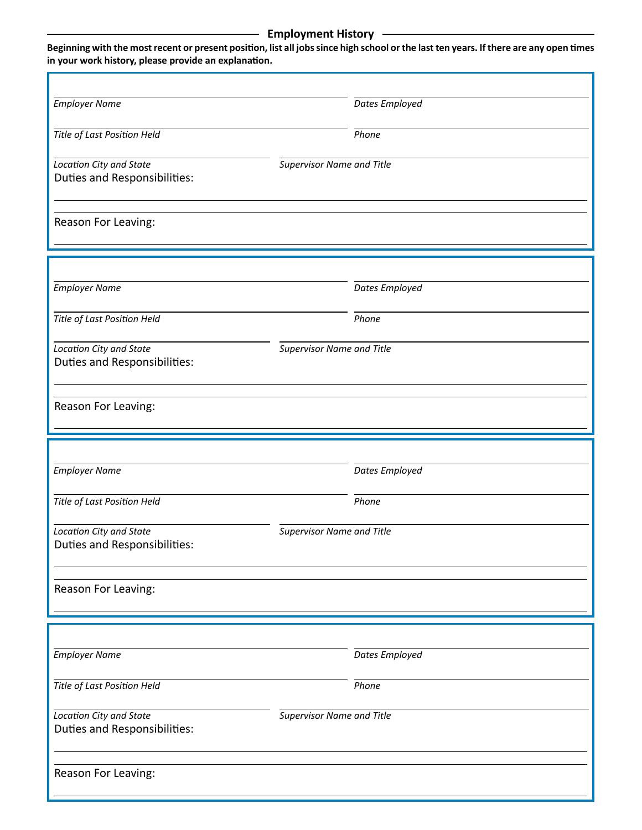## **Employment History —**

**Beginning with the most recent or present position, list all jobs since high school or the last ten years. If there are any open times in your work history, please provide an explanation.**

| <b>Employer Name</b>                | Dates Employed                   |
|-------------------------------------|----------------------------------|
| Title of Last Position Held         | Phone                            |
|                                     |                                  |
| Location City and State             | <b>Supervisor Name and Title</b> |
| Duties and Responsibilities:        |                                  |
|                                     |                                  |
| Reason For Leaving:                 |                                  |
|                                     |                                  |
|                                     |                                  |
| <b>Employer Name</b>                | Dates Employed                   |
|                                     |                                  |
| Title of Last Position Held         | Phone                            |
| Location City and State             | <b>Supervisor Name and Title</b> |
| <b>Duties and Responsibilities:</b> |                                  |
|                                     |                                  |
| Reason For Leaving:                 |                                  |
|                                     |                                  |
|                                     |                                  |
|                                     |                                  |
| <b>Employer Name</b>                | Dates Employed                   |
|                                     |                                  |
| Title of Last Position Held         | Phone                            |
| Location City and State             | <b>Supervisor Name and Title</b> |
| Duties and Responsibilities:        |                                  |
|                                     |                                  |
| Reason For Leaving:                 |                                  |
|                                     |                                  |
|                                     |                                  |
| <b>Employer Name</b>                | Dates Employed                   |
|                                     |                                  |
| Title of Last Position Held         | Phone                            |
| Location City and State             | <b>Supervisor Name and Title</b> |
| Duties and Responsibilities:        |                                  |
|                                     |                                  |
| Reason For Leaving:                 |                                  |